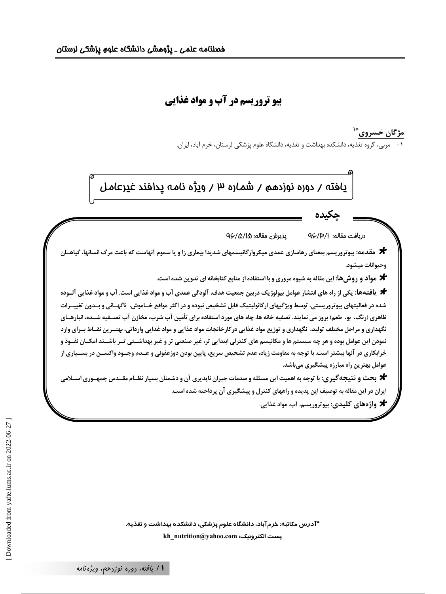# **بیو تروریسم در آب و مواد غذایی**

مژگان خسروی ؓ ا ۱– مربی، گروه تغذیه، دانشکده بهداشت و تغذیه، دانشگاه علوم پزشکی لرستان، خرم آباد، ایران.



\*آدرس مکاتبه: خرمآباد، دانشگاه علوم پزشکی، دانشکده بهداشت و تغذیه. kh\_nutrition@yahoo.com :يست الكترونيك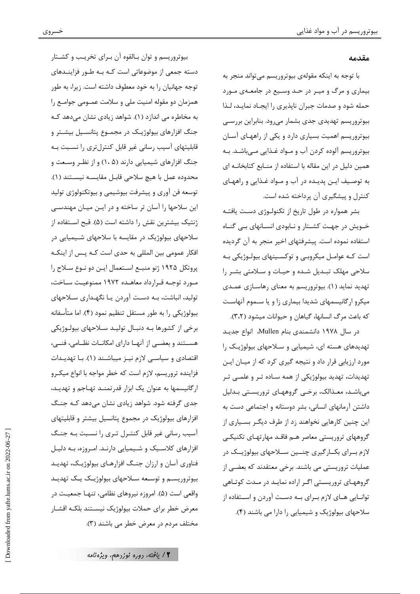#### مقدمه

با توجه به اينكه مقولهي بيوتروريسم مي تواند منجر به بیماری و مرگ و میتر در حتد وستیع در جامعتهی متورد حمله شود و صدمات جبران ناپذیری را ایجـاد نمایـد، لـذا بيوتروريسم تهديدي جدي بشمار مي رود. بنابراين بررسـي بیوتروریسم اهمیت بسیاری دارد و یکی از راههـای آسـان بيوتروريسم آلوده كردن آب و مـواد غـذايي مـيباشـد. بـه همین دلیل در این مقاله با استفاده از منـابع کتابخانــه ای به توصیف ایـن پدیـده در آب و مـواد غـذایی و راههـای کنترل و پیشگیری آن پرداخته شده است.

بشر همواره در طول تاریخ از تکنولوژی دست یافتـه خــویش در جهــت کشــتار و نــابودی انســانهای بــی گنــاه استفاده نموده است. پیشرفتهای اخیر منجر به آن گردیده است کـه عوامـل میکروبـی و توکسـینهای بیولـوژیکی بـه سلاحی مهلک تبـدیل شـده و حیـات و سـلامتی بشـر را تهدید نماید (۱). بیوتروریسم به معنای رهاسـازی عمـدی میکرو ارگانیسمهای شدیدا بیماری زا و یا سـموم آنهاسـت كه باعث مرگ انسانها، گیاهان و حیوانات میشود (۳،۲).

در سال ۱۹۷۸ دانشمندی بنام Mullen، انواع جدیـد تهدیدهای هسته ای، شیمیایی و سلاحهای بیولوژیک را مورد ارزیابی قرار داد و نتیجه گیری کرد که از میـان ایـن تهدیدات، تهدید بیولوژیکی از همه سـاده تـر و علمــی تـر می باشـد، معـذالک، برخـی گروههـای تروریسـتی بـدلیل داشتن آرمانهای انسانی، بشر دوستانه و اجتماعی دست به این چنین کارهایی نخواهند زد از طرف دیگـر بسـیاری از گروههای تروریستی معاصر هـم فاقـد مهارتهـای تکنیکـی لازم بــرای بکــارگیری چنـــین ســلاحهای بیولوژیــک در عملیات تروریستی می باشند. برخی معتقدند که بعضـی از گروههای تروریستی اگـر اراده نمایـد در مـدت کوتـاهی توانــایی هــای لازم بــرای بــه دســت آوردن و اســتفاده از سلاحهای بیولوژیک و شیمیایی را دارا می باشند (۴).

بيوتروريسم و توان بـالقوه آن بـراي تخريـب و كشــتار دسته جمعی از موضوعاتی است کـه بـه طـور فزاینــدهای توجه جهانیان را به خود معطوف داشته است. زیرا، به طور همزمان دو مقوله امنیت ملی و سلامت عمـومی جوامـع را به مخاطره می اندازد (۱). شواهد زیادی نشان میدهد کـه جنگ افزارهای بیولوژیک در مجمـوع پتانسـیل بیشـتر و قابلیتهای آسیب رسانی غیر قابل کنترلتری را نسـبت بـه جنگ افزارهای شیمیایی دارند (۱،۵) و از نظر وسعت و محدوده عمل با هيچ سلاحي قابل مقايسـه نيسـتند (١). توسعه فن آوري و پيشرفت بيوشيمي و بيوتكنولوژي توليد این سلاحها را آسان تر ساخته و در ایـن میـان مهندسـی ژنتیک بیشترین نقش را داشته است (۵). قبح اسـتفاده از سلاحهای بیولوژیک در مقایسه با سلاحهای شـیمیایی در افکار عمومی بین المللی به حدی است کـه پـس از اینکـه پروتکل ۱۹۲۵ ژنو منبـع اسـتعمال ايـن دو نـوع سـلاح را مورد توجـه قـرارداد معاهـده ١٩٧٢ ممنوعيـت سـاخت، تولید، انباشت، بـه دسـت آوردن یـا نگهـداری سـلاحهای بیولوژیکی را به طور مستقل تنظیم نمود (۴). اما متأسفانه برخی از کشورها بـه دنبـال تولیـد سـلاحهای بیولـوژیکی هسـتند و بعضــى از آنهــا داراى امكانــات نظــامى، فنــى، اقتصادی و سیاسی لازم نیـز میباشـند (۱). بـا تهدیـدات فزاينده تروريسم، لازم است كه خطر مواجه با انواع ميكـرو ارگانیسمها به عنوان یک ابزار قدرتمنـد تهـاجم و تهدیـد، جدی گرفته شود. شواهد زیادی نشان میدهد کـه جنـگ افزارهای بیولوژیک در مجموع پتانسیل بیشتر و قابلیتهای آسیب رسانی غیر قابل کنتـرل تـری را نسـبت بـه جنـگ افزارهای کلاسیک و شیمیایی دارنـد. امـروزه، بـه دلیـل فناوري آسان و ارزان جنگ افزارهـاي بيولوژيـک، تهديـد بیوتروریســم و توسـعه ســلاحهای بیولوژیــک یــک تهدیــد واقعی است (۵). امروزه نیروهای نظامی، تنهـا جمعیـت در معرض خطر براى حملات بيولوژيک نيسـتند بلكـه اقشـار مختلف مردم در معرض خطر می باشند (٣).

۱۲ پافته، <sub>دوره</sub> نوزدهم، ویژه نامه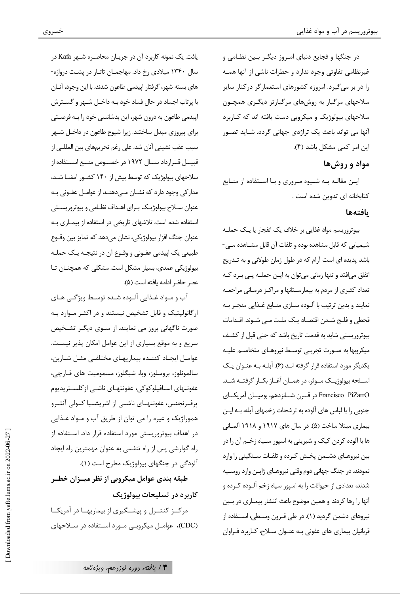در جنگها و فجایع دنیای امیروز دیگیر بسین نظـامی و غیرنظامی تفاوتی وجود ندارد و حطرات ناشی از آنها همـه را در بر میگیرد. امروزه کشورهای استعمارگر درکنار سایر سلاحهای مرگبار به روشهای مرگبارتر دیگـری همچـون سلاحهای بیولوژیک و میکروبی دست یافته اند که کـاربرد آنها می تواند باعث یک تراژدی جهانی گردد. شـاید تصـور این امر کمی مشکل باشد (۴).

## مواد و روش ها

ایـن مقالـه بـه شـیوه مـروری و بـا اسـتفاده از منـابع کتابخانه ای تدوین شده است .

### بافتهها

بیوتروریسم مواد غذایی بر خلاف یک انفجار یا یـک حملـه شیمیایی که قابل مشاهده بوده و تلفات آن قابل مشـاهده مــی-باشد پدیده ای است آرام که در طول زمان طولانی و به تـدریج اتفاق میافتد و تنها زمانی میتوان به ایـن حملـه پـی بـرد کـه تعداد کثیری از مردم به بیمارستانها و مراکـز درمـانی مراجعـه نمايند و بدين ترتيب با آلـوده سـازي منـابع غـذايي منجـر بـه قحطی و فلـج شـدن اقتصـاد یـک ملـت مـی شـوند. اقـدامات بیوتروریستی شاید به قدمت تاریخ باشد که حتی قبل از کشـف میکروبها به صـورت تجربـی توسـط نیروهـای متخاصـم علیـه یکدیگر مورد استفاده قرار گرفته انـد (۶). آبلـه بـه عنـوان یـک اسـلحه بيولوژيــک مــوثر، در همــان آغــاز بکــار گرفتــه شــد. Francisco PiZarrO در قــرن شــانزدهم، بوميــان آمريكــاي جنوبی را با لباس های آلوده به ترشحات زخمهای آبله، بـه ایـن بیماری مبتلا ساخت (۵). در سال های ۱۹۱۷ و ۱۹۱۸ آلمـانی ها با آلوده کردن کیک و شیرینی به اسپور سـیاه زخـم آن را در بین نیروهـای دشـمن پخـش کـرده و تلفـات سـنگینی را وارد نمودند. در جنگ جهانی دوم وقتی نیروهـای ژاپـن وارد روسـیه شدند، تعدادی از حیوانات را به اسپور سیاه زخم آلــوده کــرده و آنها را رها کردند و همین موضوع باعث انتشار بیمـاری در بـین نیروهای دشمن گردید (۱). در طی قـرون وسـطی، اسـتفاده از قربانیان بیماری های عفونی بـه عنـوان سـلاح، کـاربرد فـراوان

یافت. یک نمونه کاربرد آن در جریـان محاصـره شــهر Kafa در سال ۱۳۴۰ میلادی رخ داد. مهاجمـان تاتـار در پشـت دروازه-های بسته شهر، گرفتار اپیدمی طاعون شدند. با این وجود، آنـان با پر تاب اجساد در حال فساد خود بـه داخـل شـهر و گســترش اپیدمی طاعون به درون شهر، این بدشانسی خود را بـه فرصـتی برای پیروزی مبدل ساختند. زیرا شیوع طاعون در داخـل شـهر سبب عقب نشيني آنان شد. على رغم تحريمهاي بين المللـي از قبیــل قــرارداد ســـال ١٩٧٢ در خصـــوص منـــع اســـتفاده از سلاحهای بیولوژیک که توسط بیش از ۱۴۰ کشـور امضـا شـد، مدارکی وجود دارد که نشـان مـیدهنـد از عوامـل عفـونی بـه عنوان سـلاح بيولوژيـک بـراي اهـداف نظـامي و بيوتروريسـتي استفاده شده است. تلاشهای تاریخی در استفاده از بیماری بـه عنوان جنگ افزار بيولوژيکي، نشان مي دهد که تمايز بين وقــوع طبیعی یک اپیدمی عفـونی و وقـوع آن در نتیجـه یـک حملـه بیولوژیکی عمدی، بسیار مشکل است. مشکلی که همچنــان تــا عصر حاضر ادامه يافته است (۵).

آب و مـواد غـذايي آلـوده شـده توسـط ويژگـي هـاي ارگانولیتیک و قابل تشخیص نیستند و در اکثـر مـوارد بـه صورت ناگهانی بروز می نمایند. از سـوی دیگـر تشـخیص سریع و به موقع بسیاری از این عوامل امکان پذیر نیست. عوامل ايجاد كننده بيماريهاى مختلفى مثل شاربن، سالمونلوز، بروسلوز، وبا، شيگلوز، مسموميت هاى قـارچى، عفونتهای استافیلوکوکی، عفونتهـای ناشـی ازکلسـتریدیوم پرفـرنجنس، عفونتهـاي ناشــي از اشريشــيا كــولى آنتــرو هموراژیک و غیره را می توان از طریق آب و مـواد غـذایی در اهداف بیوتروریستی مورد استفاده قرار داد. اسـتفاده از راه گوارشی پس از راه تنفسی به عنوان مهمترین راه ایجاد آلودگی در جنگهای بیولوژیک مطرح است (۱).

طبقه بندی عوامل میکروبی از نظر میــزان خطــر کاربرد در تسلیحات بیولوژیک

مرکـز کنتـرل و پیشـگیری از بیماریهـا در آمریکـا (CDC)، عوامـل میکروبـی مـورد اسـتفاده در سـلاحهای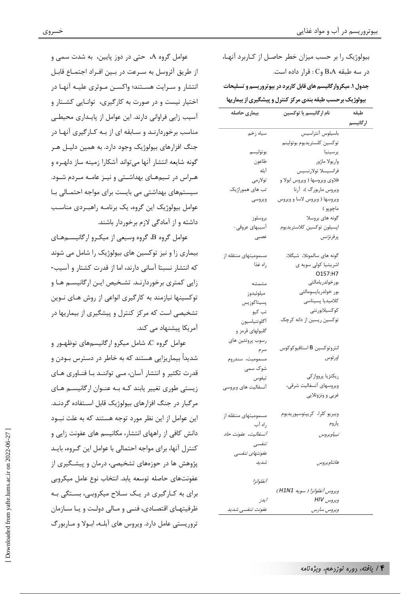بیولوژیک را بر حسب میزان خطر حاصـل از کـاربرد آنهـا، در سه طبقه B،A وC : قرار داده است. جدول ۱. میکروارگانیسم های قابل کاربرد در بیوتروریسم و تسلیحات بیولوژیک برحسب طبقه بندی مرکز کنترل و پیشگیری از بیماریها

| بیماری حاصله         | نام ارگانیسم یا توکسین                | طبقه     |
|----------------------|---------------------------------------|----------|
|                      |                                       | ارگانیسم |
| سياه زخم             | باسيلوس آنتراسيس                      |          |
|                      | توكسين كلستريديوم بوتولينم            |          |
| بو توليسۍ            | ير سينيا                              |          |
| طاعون                | واريولا ماژور                         |          |
| آبله                 | فرانسيسلا تولارنسيس                   |          |
| تولارمى              | فلاوي ويروسها ( ويروس ابولا و         |          |
| تب های هموراژیک      | ویروس ماربورگ )، آرنا                 |          |
| ويروسي               | ویروسها ( ویروس لاسا و ویروس          |          |
|                      | ماچوپو )                              |          |
| بر وسلوز             | گونه های بروسلا                       |          |
| آسیبهای عروقی-       | اپسيلون توكسين كلاستريديوم            |          |
| عصبى                 | ير فر نژنس                            |          |
| مسمومیتهای منتقله از | گونه های سالمونلا، شیگلا،             |          |
| , اه غذا             | اشریشیا کولی سویه ی                   |          |
|                      | O157:H7                               |          |
| مشمشه                | بورخولدر يامالئى                      |          |
| ميلوئيدوز            | بور خولدرياپسومالئى                   |          |
| يسيتاكوزيس           | كلاميديا پسيتاسى                      |          |
| تب کیو               | كوكسيلابورنتي                         |          |
| آگلوتنياسيون         | توکسین ریسین از دانه کرچک             |          |
| گلبولهای قرمز و      |                                       |          |
| رسوب پروتئين هاي     |                                       |          |
| سرم                  | انتروتوكسين B استافيوكوكوس            |          |
| مسموميت، سندروم      | اورئوس                                |          |
| شوک سمی              |                                       |          |
| تيفوس                | ريكتزيا پرووازكى                      |          |
| آنسفاليت هاى ويروسى  | ويروسهاى آنسفاليت شرقى،               |          |
|                      | غربي و ونزوئلايي                      |          |
| مسمومیتهای منتقله از | ويبريو كلرا، كريپتوسپوريديوم          |          |
| , اه آب              | پاروم                                 |          |
| آنسفالیت، عفونت حاد  | نيپاويروس                             |          |
| تنفسي                |                                       |          |
| عفونتهای تنفسی       |                                       |          |
| شىدىد                | هانتاويروس                            |          |
| آنفلوانزا            |                                       |          |
|                      | ویروس آنفلو <i>انزا (</i> سویه H1N1 ) |          |
| ا يدز                | ويروس HIV                             |          |
| عقونت تنفسي شديد     | ەپ مەن بىيا، س                        |          |

عوامل گروه A، حتی در دوز پایین، به شدت سمی و از طريق آئروسل به سـرعت در بـين افـراد اجتمـاع قابـل انتشار و سـرایت هسـتند؛ واکسـن مـوثری علیـه آنهـا در اختیار نیست و در صورت به کارگیری، توانـایی کشـتار و آسیب زایی فراوانی دارند. این عوامل از پایـداری محیطـی مناسب برخوردارنـد و سـابقه ای از بـه کـارگیری آنهـا در جنگ افزارهای بیولوژیک وجود دارد. به همین دلیـل هـر گونه شایعه انتشار آنها میتواند آشکارا زمینه ساز دلهـره و هـراس در تـیمهـای بهداشـتی و نیـز عامـه مـردم شـود. سیستمهای بهداشتی می بایست برای مواجه احتمـالی بـا عوامل بیولوژیک این گروه، یک برنامـه راهبـردی مناسـب داشته و از آمادگی لازم برخوردار باشند.

عوامل گروه B، گروه وسیعی از میکـرو ارگانیســمهـای بیماری زا و نیز توکسین های بیولوژیک را شامل می شوند كه انتشار نسبتا آسانی دارند، اما از قدرت كشتار و آسيب-زایی کمتری برخوردارنـد. تشـخیص ایـن ارگانیسـم هـا و توکسینها نیازمند به کارگیری انواعی از روش هـای نــوین تشخیصی است که مرکز کنترل و پیشگیری از بیماریها در آمریکا پیشنهاد می کند.

عوامل گروه C، شامل میکرو ارگانیسمهای نوظهـور و شدیداً بیماریزایی هستند که به خاطر در دسترس بـودن و قد,ت تکثیر و انتشار آسان، مے توانند با فناوری های زیستی طوری تغییر پابند کـه بـه عنـوان ارگانیسـم هـای مرگبار در جنگ افزارهای بیولوژیک قابل اسـتفاده گردنـد. این عوامل از این نظر مورد توجه هستند که به علت نبــود دانش کافی از راههای انتشار، مکانیسم های عفونت زایی و كنترل آنها، براي مواجه احتمالي با عوامل اين گـروه، بايـد پژوهش ها در حوزههای تشخیصی، درمان و پیشگیری از عفونتهای حاصله توسعه پابد. انتخاب نوع عامل میکروبی برای به کـارگیری در یـک سـلاح میکروبـی، بسـتگی بـه ظرفیتهـای اقتصـادی، فنـی و مـالی دولـت و یـا سـازمان تروریستی عامل دارد. ویروس های آبلـه، ابـولا و مـاربورگ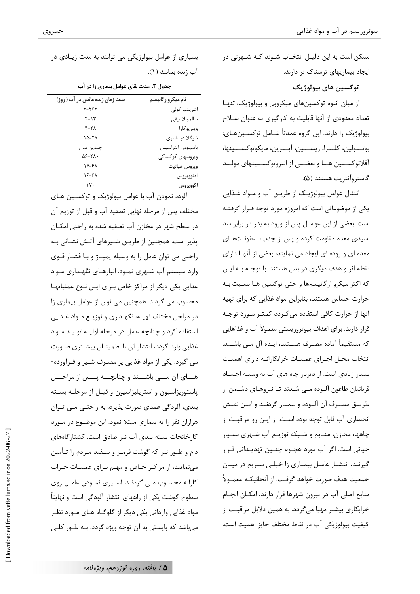ممکن است به این دلیـل انتخـاب شـوند کـه شـهرتی در ایجاد بیماریهای ترسناک تر دارند.

توکسين هاي بيولوژيک

از میان انبوه توکسینهای میکروبی و بیولوژیک، تنهـا تعداد معدودي از آنها قابلیت به کارگیری به عنوان سـلاح بیولوژیک را دارند. این گروه عمدتاً شــامل توکســینهــای: بوتـولين، كلـرا، ريســين، آبــرين، مايكوتوكســينها، آفلاتوکســـین هـــا و بعضـــی از انتروتوکســـینهای مولـــد گاستروآنتریت هستند (۵).

انتقال عوامل بيولوژيـک از طريـق آب و مـواد غـذايي یکی از موضوعاتی است که امروزه مورد توجه قـرار گرفتـه است. بعضی از این عوامـل پس از ورود به بذر در برابر سد اسیدی معده مقاومت کرده و پس از جذب، عفونتهای معده ای و روده ای ایجاد می نمایند، بعضی از آنها دارای نقطه اثر و هدف ديگري در بدن هستند. با توجـه بـه ايـن که اکثر میکرو ارگانیسمها و حتی توکسین هـا نسـبت بـه حرارت حساس هستند، بنابراین مواد غذایی که برای تهیه آنها از حرارت کافی استفاده می گیردد کمتیر میورد توجیه قرار دارند. برای اهداف بیوتروریستی معمولاً آب و غذاهایی که مستقیماً آماده مصـرف هســتند، ایــده آل مــی باشــند. انتخاب محـل اجـراي عمليـات خرابكارانـه داراي اهميـت بسیار زیادی است. از دیرباز جاه های آب به وسیله اجساد قربانیان طاعون آلـوده مـی شـدند تـا نیروهـای دشـمن از طريــق مصــرف آن آلــوده و بيمــار گردنــد و ايــن نقــش انحصاري آب قابل توجه بوده است. از ايـن رو مراقبـت از چاهها، مخازن، منــابع و شــبکه توزیــع آب شــهری بســیار حیاتی است. اگر آب مورد هجــوم چنــین تهدیــداتی قــرار گیرنـد، انتشـار عامـل بیمـاری زا خیلـی سـریع در میـان جمعیت هدف صورت خواهد گرفت. از آنجائیکـه معمــولاً منابع اصلی آب در بیرون شهرها قرار دارند، امکـان انجـام خرابکاری بیشتر مهیا میگردد. به همین دلایل مراقبت از كيفيت بيولوژيكي آب در نقاط مختلف حايز اهميت است.

بسیاری از عوامل بیولوژیکی می توانند به مدت زیـادی در آب زنده بمانند (۱).

جدول ۲. مدت بقای عوامل بیماری زا در آب

| مدت زمان زنده ماندن در آب ( روز) | نام میکروارگانیسم |
|----------------------------------|-------------------|
| <b>2-187-7</b>                   | اشریشیا کولی      |
| ۲-۹۳                             | سالمونلا تيفي     |
| $Y-Y$                            | ويبريوكلرا        |
| $10 - YY$                        | شیگلا دیسانتری    |
| چندین سال                        | باسيلوس أنتراسيس  |
| $\Delta 5 - 7\lambda$ .          | ویروسهای کوکساکی  |
| $15 - 51$                        | ويروس هپاتيت      |
| $19 - 91$                        | ادنوويروس         |
| ١٧٠                              | اكوويروس          |
|                                  |                   |

آلوده نمودن آب با عوامل بيولوژيک و توکسـين هـای مختلف پس از مرحله نهایی تصفیه آب و قبل از توزیع آن در سطح شهر در مخازن آب تصفیه شده به راحتی امکـان پذیر است. همچنین از طریـق شـیرهای آتـش نشـانی بـه راحتی می توان عامل را به وسیله پمپاژ و با فشار قـوی وارد سیستم آب شـهری نمـود. انبارهـای نگهـداری مـواد غذایی یکی دیگر از مراکز خاص برای ایـن نـوع عملیاتهـا محسوب می گردند. همچنین می توان از عوامل بیماری زا در مراحل مختلف تهیـه، نگهـداری و توزیـع مـواد غـذایی استفاده کرد و چنانچه عامل در مرحله اولیــه تولیـد مـواد غذایی وارد گردد، انتشار آن با اطمینــان بیشــتری صــورت می گیرد. یکی از مواد غذایی پر مصرف شـیر و فـرآورده-هــای آن مـــی باشــند و چنانچــه پــس از مراحــل پاستوریزاسیون و استریلیزاسیون و قبـل از مرحلـه بسـته بندي، آلودگي عمدي صورت پذيرد، به راحتـي مـي تـوان هزاران نفر را به بیماری مبتلا نمود. این موضـوع در مـورد کارخانجات بسته بندی آب نیز صادق است. کشتار گاههای دام و طیور نیز که گوشت قرمـز و ســفید مــردم را تــأمین می نمایند، از مراکز خیاص و مهیم بیرای عملییات خیراب کارانه محسـوب مـی گردنـد. اسـیری نمـودن عامـل روی سطوح گوشت یکی از راههای انتشار آلودگی است و نهایتاً مواد غذایی وارداتی یکی دیگر از گلوگـاه هـای مـورد نظـر مي باشد كه بايستي به آن توجه ويژه گردد. بــه طــور كلــي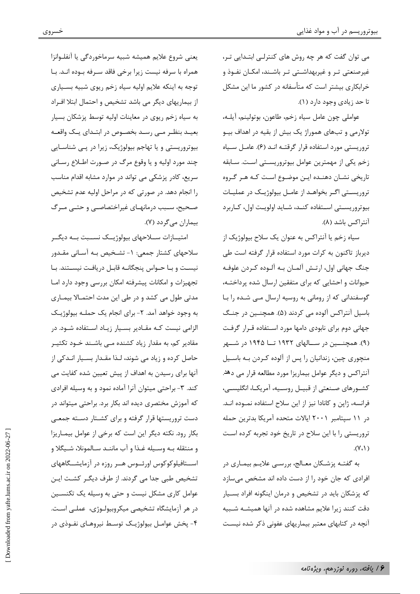می توان گفت که هر چه روش های کنترلبی ابتـدایی تـر، غیرصنعتی تـر و غیربهداشـتی تـر باشـند، امکـان نفـوذ و خرابکاری بیشتر است که متأسفانه در کشور ما این مشکل تا حد زیادی وجود دارد (۱).

عواملي چون عامل سياه زخم، طاعون، بوتولينم، آيلـه، تولارمی و تبهای هموراژ یک بیش از بقیه در اهداف بیــو تروریستی مورد استفاده قرار گرقتـه انـد (۶). عامـل سـياه زخم يكي از مهمترين عوامل بيوتروريستي است. سـابقه تاریخی نشـان دهنـده ایـن موضـوع اسـت کـه هـر گـروه تروریستی اگـر بخواهـد از عامـل بیولوژیـک در عملیـات بیوتروریستی استفاده کنـد، شـاید اولویـت اول، کــاربرد آنت<sub>ا</sub>کس باشد (۸).

سياه زخم يا آنتراكس به عنوان يک سلاح بيولوژيک از دیرباز تاکنون به کرات مورد استفاده قرار گرفته است طی جنگ جهانی اول، ارتـش آلمـان بـه آلـوده کـردن علوفـه حیوانات و احشایی که برای متفقین ارسال شده پرداختـه، گوسفندانی که از رومانی به روسیه ارسال مـی شـده را بـا باسیل آنتراکس آلوده می کردند (۵). همچنین در جنگ جهانی دوم برای نابودی دامها مورد استفاده قـرار گرفـت (۹). همچنـــین در ســـالهای ۱۹۳۲ تــا ۱۹۴۵ در شـــهر منچوری چین، زندانیان را پس از آلوده کـردن بـه باسـیل آنتراکس و دیگر عوامل بیماریزا مورد مطالعه قرار می دهد. کشـورهای صـنعتی از قبیـل روسـیه، آمریکـا، انگلیسـی، فرانسه، ژاپن و کانادا نیز از این سلاح استفاده نمـوده انـد. در ١١ سيتامبر ٢٠٠١ ايالات متحده آمريكا بدترين حمله تروریستی را با این سلاح در تاریخ خود تجربه کرده است  $(V_1)$ 

به گفتــه پزشــكان معــالج، بررســي علايــم بيمــاري در افرادی که جان خود را از دست داده اند مشخص مے سازد که پزشکان باید در تشخیص و درمان اینگونه افراد بسـیار دقت کنند زیرا علایم مشاهده شده در آنها همیشـه شـبیه آنچه در کتابهای معتبر بیماریهای عفونی ذکر شده نیست

يعني شروع علايم هميشه شبيه سرماخوردگي يا آنفلوانزا همراه با سرفه نیست زیرا برخی فاقد سرفه بوده انـد. بـا توجه به اینکه علایم اولیه سیاه زخم ریوی شبیه بسـیاری از بیماریهای دیگر می باشد تشخیص و احتمال ابتلا اف اد به سیاه زخم ریوی در معاینات اولیه توسط پزشکان بسیار بعیـد بنظـر مـی رسـد بخصـوص در ابتـدای یـک واقعـه بیوتروریستی و یا تهاجم بیولوژیک، زیرا در پـی شناسـایی چند مورد اوليه و يا وقوع مرگ در صورت اطلاع رساني سریع، کادر پزشکی می تواند در موارد مشابه اقدام مناسب را انجام دهد. در صورتی که در مراحل اولیه عدم تشخیص صحیح، سـبب درمانهـای غیراختصاصـی و حتـبی مـرگ بیماران مے گردد (۷).

امتیــازات ســـلاحهای بیولوژیـــک نســبت بــه دیگــر سلاحهای کشتار جمعی: ۱- تشـخیص بـه آسـانی مقـدور نیست و بـا حـواس پنجگانـه قابـل دریافـت نیسـتند. بـا تجهیزات و امکانات پیشرفته امکان بررسی وجود دارد امـا مدتی طول می کشد و در طی این مدت احتمـالا بیمـاری به وجود خواهد آمد. ۲- برای انجام یک حملـه بیولوژیـک الزامی نیست کـه مقـادیر بسـیار زیـاد اسـتفاده شـود. در مقادیر کم، به مقدار زیاد کشنده مـی باشـند خـود تکثیـر حاصل کرده و زیاد می شوند، لـذا مقـدار بسـیار انـدکی از آنها برای رسیدن به اهداف از پیش تعیین شده کفایت می کند. ۳- براحتی میتوان آنرا آماده نمود و به وسیله افرادی که آموزش مختصری دیده اند بکار برد. براحتی میتواند در دست تروریستها قرار گرفته و برای کشـتار دسـته جمعـی بکار رود. نکته دیگر این است که برخی از عوامل بیمـاریزا و منتقله بـه وسـيله غـذا و آب ماننـد سـالمونلا، شـيگلا و اســتافيلوكوكوس اورئــوس هــر روزه در آزمايشــگاههاى تشخیص طبی جدا می گردند. از طرف دیگـر کشـت ایـن عوامل کاری مشکل نیست و حتی به وسیله یک تکنسـین در هر آزمایشگاه تشخیصی میکروبیولوژی، عملـی اسـت. ۴- پخش عوامـل بيولوژيـک توسـط نيروهـاي نفـوذي در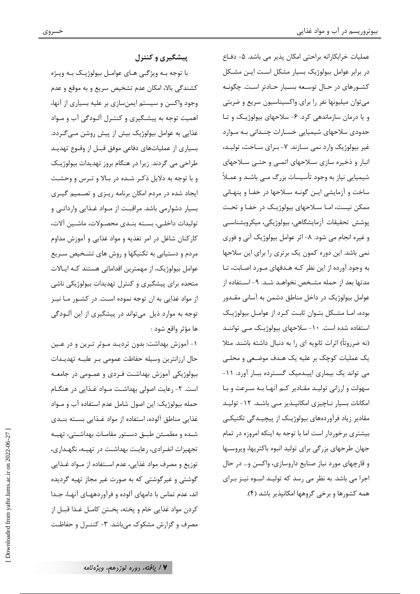پیشگیری و کنترل

با توجه بـه ویژگـی هـای عوامـل بیولوژیـک بـه ویـژه كشندگي بالا، امكان عدم تشخيص سريع و به موقع و عدم وجود واکسن و سیستم ایمنسازی بر علیه بسیاری از آنها، اهمیت توجه به پیشگیری و کنتـرل آلـودگی آب و مـواد غذایی به عوامل بیولوژیک بیش از پیش روشن مـی گـردد. بسیاری از عملیاتهای دفاعی موفق قبـل از وقـوع تهدیـد طراحی می گردند. زیرا در هنگام بروز تهدیدات بیولوژیک و با توجه به دلایل ذکر شده در بالا و ترس و وحشت ایجاد شده در مردم امکان برنامه ریـزی و تصـمیم گیـری بسیار دشوارمی باشد. مراقبت از مـواد غـذایی وارداتـی و توليدات داخلـي، بســته بنــدي محصــولات، ماشــين آلات، کارکنان شاغل در امر تغذیه و مواد غذایی و آموزش مداوم مردم و دستیابی به تکنیکها و روش های تشخیص سـریع عوامل بیولوژیک، از مهمترین اقداماتی هستند کـه ایـالات متحده برای پیشگیری و کنترل تهدیدات بیولوژیکی ناشی از مواد غذایی به ان توجه نموده است. در کشـور مـا نیـز توجه به موارد ذیل می تواند در پیشگیری از این آلـودگی ها مؤثر واقع شود :

١- آموزش بهداشت: بدون ترديـد مــوثر تــرين و در عــين حال ارزانترین وسیله حفاظت عمومی بـر علیــه تهدیـدات بیولوژیکی آموزش بهداشت فـردی و عمـومی در جامعـه است. ۲- رعایت اصولی بهداشت مـواد غـذایی در هنگـام حمله بیولوژیک: این اصول شامل عدم استفاده آب و مــواد غذایی مناطق آلوده، استفاده از مواد غـذایی بسـته بنــدی شـده و مطمـئن طبـق دسـتور مقامـات بهداشـتي، تهيـه تجهیزات انفـرادی، رعایـت بهداشـت در تهیـه، نگهـداری، توزيع و مصرف مواد غذايي، عدم اسـتفاده از مــواد غــذايي گوشتی و غیر گوشتی که به صورت غیر مجاز تهیه گردیده اند، عدم تماس با دامهای آلوده و فرآوردههـای آنهـا، جـدا كردن مواد غذايي خام و پخته، پخـتن كامـل غـذا قبـل از مصرف و گزارش مشکوک می باشد. ۳- کننـرل و حفاظـت

عملیات خرابکارانه براحتی امکان پذیر می باشد. ۵- دفـاع در برابر عوامل بیولوژیک بسیار مشکل است ایـن مشـکل کشـورهای در حـال توسـعه بسـیار حـادتر اسـت. چگونـه می توان میلیونها نفر را برای واکسیناسیون سریع و ضربتی و یا درمان سازماندهی کرد. ۶- سلاحهای بیولوژیک و تا حدودی سلاحهای شیمیایی خسـارات چنـدانی بـه مـوارد غیر بیولوژیک وارد نمی سـازند. ۷- بـرای سـاخت، تولیـد، انبار و ذخیره سازی سلاحهای اتمے و حتے سلاحهای شیمیایی نیاز به وجود تأسیسات بزرگ مـی باشـد و عمـلاً ساخت و آزمایشی ایـن گونـه سـلاحها در خفـا و پنهـانی ممکن نیست، امــا ســلاحهای بیولوژیــک در خفــا و تحــت پوشش تحقیقات آزمایشگاهی، بیولوژیکی، میکروبشناسبی و غیره انجام می شود. ٨- اثر عوامل بیولوژیک آنی و فوری نمی باشد. این دوره کمون یک برتری را برای این سلاحها به وجود آورده از این نظر کـه هـدفهای مـورد اصـابت، تـا مدتها بعد از حمله مشخص نخواهـد شـد. ۹- اسـتفاده از عوامل بیولوژیک در داخل مناطق دشمن به آسانی مقـدور بوده، امـا مشـكل بتـوان ثابـت كـرد از عوامـل بيولوژيـك استفاده شده است. ١٠- سلاحهای بیولوژیـک مـی تواننـد (نه ضرروتاً) اثرات ثانویه ای را به دنبال داشته باشند. مثلا یک عملیات کوچک بر علیه یک هـدف موضـعی و محلـی می تواند یک بیماری اپیـدمیک گسـترده ببـار آورد. ۱۱-سهولت و ارزانی تولیـد مقـادیر کـم آنهـا بـه سـرعت و بـا امکانات بسیار نـاچیزی امکانپـذیر مـی باشـد. ١٢- تولیـد مقادیر زیاد فرآوردههای بیولوژیـک از پیچیـدگی تکنیکـی بیشتری برخوردار است اما با توجه به اینکه امروزه در تمام جهان طرحهای بزرگی برای تولید انبوه باکتریها، ویروسها و قارچهای مورد نیاز صنایع داروسازی، واکسن و… در حال اجرا می باشد. به نظر می رسد که تولیـد انبــوه نیــز بــرای همه کشورها و برخی گروهها امکانیذیر باشد (۴).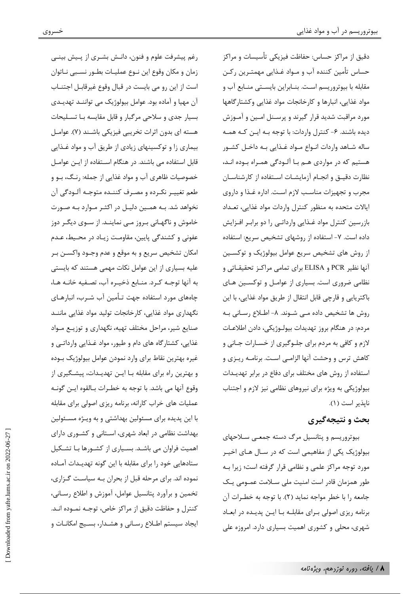خسروى

رغم پیشرفت علوم و فنون، دانـش بشـری از پـیش بینـی زمان و مكان وقوع اين نـوع عمليـات بطـور نسـبي نـاتوان است از این رو می بایست در قبال وقوع غیرقابـل اجتنــاب آن مهيا و آماده بود. عوامل بيولوژيک مي تواننـد تهديـدي بسیار جدی و سلاحی مرگبار و قابل مقایسه بـا تسـلیحات هسته ای بدون اثرات تخریبی فیزیکی باشـند (۷). عوامـل بیماری زا و توکسینهای زیادی از طریق آب و مواد غذایی قابل استفاده می باشند. در هنگام استفاده از ایـن عوامـل خصوصیات ظاهری آب و مواد غذایی از جمله: رنگ، بـو و طعم تغييـر نكـرده و مصـرف كننـده متوجـه آلـودگي آن نخواهد شد. بـه همـین دلیـل در اکثـر مـوارد بـه صـورت خاموش و ناگهـانی بـروز مـی نماینـد. از سـوی دیگـر دوز عفوني و كشندگي پايين، مقاومت زيـاد در محـيط، عـدم امکان تشخیص سریع و به موقع و عدم وجــود واکســن بــر علیه بسیاری از این عوامل نکات مهمی هستند که بایستی به آنها توجـه كـرد. منـابع ذخيـره آب، تصـفيه خانـه هـا، چاههای مورد استفاده جهت تـأمین آب شـرب، انبارهـای نگهداری مواد غذایی، کارخانجات تولید مواد غذایی ماننـد صنایع شیر، مراحل مختلف تهیه، نگهداری و توزیـع مـواد غذایی، کشتارگاه های دام و طیور، مواد غـذایی وارداتـی و غيره بهترين نقاط براي وارد نمودن عوامل بيولوژيک بـوده و بهترین راه برای مقابله بـا ایـن تهدیـدات، پیشـگیری از وقوع آنها مي باشد. با توجه به خطـرات بـالقوه ايـن گونـه عملیات های خراب کارانه، برنامه ریزی اصولی برای مقابله با این پدیده برای مسئولین بهداشتی و به ویـژه مسـئولین بهداشت نظامی در ابعاد شهری، استانی و کشوری دارای اهمیت فراوان می باشـد. بسـیاری از کشـورها بـا تشـکیل ستادهایی خود را برای مقابله با این گونه تهدیـدات آمـاده نموده اند. برای مرحله قبل از بحران بـه سیاسـت گـزاری، تخمین و برآورد پتانسیل عوامل، آموزش و اطلاع رسـانی، كنترل و حفاظت دقيق از مراكز خاص، توجـه نمــوده انــد. ایجاد سیستم اطـلاع رسـانی و هشـدار، بسـیج امکانـات و

دقیق از مراکز حساس: حفاظت فیزیکی تأسیسات و مراکز حساس تأمين كننده آب و مـواد غـذايي مهمتـرين ركـن مقابله با بیوتروریسم است. بنـابراین بایسـتی منـابع آب و مواد غذایی، انبارها و کارخانجات مواد غذایی وکشتار گاهها مورد مراقبت شدید قرار گیرند و پرسـنل امـین و آمـوزش دیده باشند. ۶– کنترل واردات: با توجه بـه ایـن کـه همـه ساله شـاهد واردات انـواع مـواد غـذايي بـه داخـل كشـور هستیم که در مواردی هـم بـا آلـودگی همـراه بـوده انـد، نظارت دقیـق و انجـام آزمایشـات اسـتفاده از کارشناسـان مجرب و تجهیزات مناسب لازم است. اداره غذا و داروی ایالات متحده به منظور کنترل واردات مواد غذایی، تعـداد بازرسین کنترل مواد غـذایی وارداتـی را دو برابـر افـزایش داده است. ۷- استفاده از روشهای تشخیص سریع: استفاده از روش های تشخیص سریع عوامل بیولوژیک و توکسـین آنها نظیر PCR و ELISA برای تمامی مراکـز تحقیقـاتی و نظامی ضروری است. بسیاری از عوامـل و توکسـین هـای باكتريايي و قارچي قابل انتقال از طريق مواد غذايي، با اين روش ها تشخیص داده مے شـوند. ٨- اطـلاع رسـانی بـه مردم: در هنگام بروز تهديدات بيولـوژيكي، دادن اطلاعـات لازم و کافی به مردم برای جلـوگیری از خسـارات جـانی و كاهش ترس و وحشت آنها الزامـي اسـت. برنامـه ريـزي و استفاده از روش های مختلف برای دفاع در برابر تهدیـدات بیولوژیکی به ویژه برای نیروهای نظامی نیز لازم و اجتناب نايذير است (١).

# يحث و نتيجه گيري

بیوتروریسم و پتانسیل مرگ دسته جمعے سلاحهای بیولوژیک یکی از مفاهیمی است که در سـال هـای اخیــر مورد توجه مراکز علمی و نظامی قرار گرفته است؛ زیرا بـه طور همزمان قادر است امنیت ملی سـلامت عمـومی یـک جامعه را با خطر مواجه نماید (٢). با توجه به خطـرات آن برنامه ریزی اصولی برای مقابلـه بـا ایـن پدیـده در ابعـاد شهری، محلی و کشوری اهمیت بسیاری دارد. امروزه علی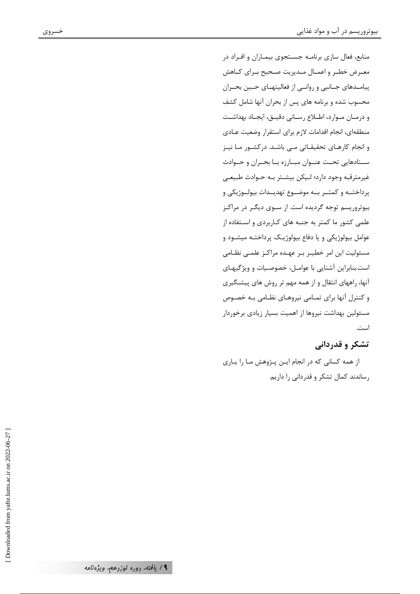منابع، فعال سازی برنامـه جسـتجوی بیمـاران و افـراد در معـرض خطـر و اعمــال مــديريت صـحيح بــراي كــاهش پیامـدهای جـانبی و روانــی از فعالیتهــای حــین بحــران محسوب شده و برنامه های پس از بحران آنها شامل کشف و درمـان مـوارد، اطـلاع رسـاني دقيـق، ايجـاد بهداشـت منطقهاى، انجام اقدامات لازم براى استقرار وضعيت عــادى و انجام کارهـای تحقیقـاتی مـی باشـد. درکشـور مـا نیـز سـتادهايي تحـت عنــوان مبــارزه بــا بحــران و حــوادث غیرمترقبه وجود دارد؛ لیکن بیشتر بـه حـوادث طبیعـی پرداختــه و کمتــر بــه موضــوع تهديــدات بيولــوژيکي و بیوتروریسم توجه گردیده است. از سـوی دیگـر در مراکـز علمی کشور ما کمتر به جنبه های کـاربردی و اسـتفاده از عوامل بيولوژيکي و يا دفاع بيولوژيـک پرداختـه ميشـود و مسئولیت این امر خطیـر بـر عهـده مراکـز علمـی نظـامی است.بنابراین آشنایی با عوامل، خصوصیات و ویژگیهای آنها، راههای انتقال و از همه مهم تر روش های پیشگیری و کنترل آنها برای تمـامی نیروهـای نظـامی بـه خصـوص مسئولین بهداشت نیروها از اهمیت بسیار زیادی برخوردار است.

# تشکر و قدردانی

از همه کسانی که در انجام ایـن پـژوهش مـا را يـارى رساندند کمال تشکر و قدردانی را داریم.

۹/ یافته، <sub>دوره</sub> نوزدهم، ویژه نامه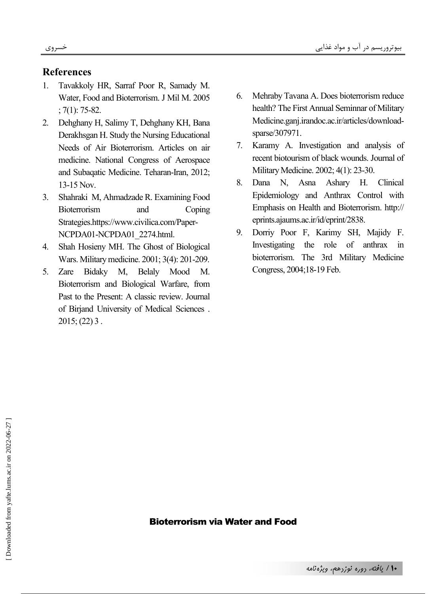## **References**

- 1. Tavakkoly HR, Sarraf Poor R, Samady M. Water, Food and Bioterrorism. J Mil M. 2005 ; 7(1): 75-82.
- 2. Dehghany H, Salimy T, Dehghany KH, Bana Derakhsgan H. Study the Nursing Educational Needs of Air Bioterrorism. Articles on air medicine. National Congress of Aerospace and Subaqatic Medicine. Teharan-Iran, 2012; 13-15 Nov.
- 3. Shahraki M, Ahmadzade R. Examining Food Bioterrorism and Coping Strategies.https://www.civilica.com/Paper-NCPDA01-NCPDA01\_2274.html.
- 4. Shah Hosieny MH. The Ghost of Biological Wars. Military medicine. 2001; 3(4): 201-209.
- 5. Zare Bidaky M, Belaly Mood M. Bioterrorism and Biological Warfare, from Past to the Present: A classic review. Journal of Birjand University of Medical Sciences .  $2015$ ; (22) 3.
- 6. Mehraby Tavana A. Does bioterrorism reduce health? The First Annual Seminnar of Military Medicine.ganj.irandoc.ac.ir/articles/downloadsparse/307971.
- 7. Karamy A. Investigation and analysis of recent biotourism of black wounds. Journal of Military Medicine. 2002; 4(1): 23-30.
- 8. Dana N, Asna Ashary H. Clinical Epidemiology and Anthrax Control with Emphasis on Health and Bioterrorism. http:// eprints.ajaums.ac.ir/id/eprint/2838.
- 9. Dorriy Poor F, Karimy SH, Majidy F. Investigating the role of anthrax in bioterrorism. The 3rd Military Medicine Congress, 2004;18-19 Feb.

### Bioterrorism via Water and Food